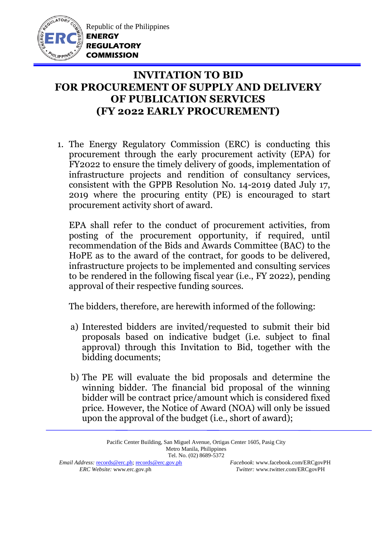

Republic of the Philippines **ENERGY REGULATORY COMMISSION**

## **INVITATION TO BID FOR PROCUREMENT OF SUPPLY AND DELIVERY OF PUBLICATION SERVICES (FY 2022 EARLY PROCUREMENT)**

1. The Energy Regulatory Commission (ERC) is conducting this procurement through the early procurement activity (EPA) for FY2022 to ensure the timely delivery of goods, implementation of infrastructure projects and rendition of consultancy services, consistent with the GPPB Resolution No. 14-2019 dated July 17, 2019 where the procuring entity (PE) is encouraged to start procurement activity short of award.

EPA shall refer to the conduct of procurement activities, from posting of the procurement opportunity, if required, until recommendation of the Bids and Awards Committee (BAC) to the HoPE as to the award of the contract, for goods to be delivered, infrastructure projects to be implemented and consulting services to be rendered in the following fiscal year (i.e., FY 2022), pending approval of their respective funding sources.

The bidders, therefore, are herewith informed of the following:

- a) Interested bidders are invited/requested to submit their bid proposals based on indicative budget (i.e. subject to final approval) through this Invitation to Bid, together with the bidding documents;
- b) The PE will evaluate the bid proposals and determine the winning bidder. The financial bid proposal of the winning bidder will be contract price/amount which is considered fixed price. However, the Notice of Award (NOA) will only be issued upon the approval of the budget (i.e., short of award);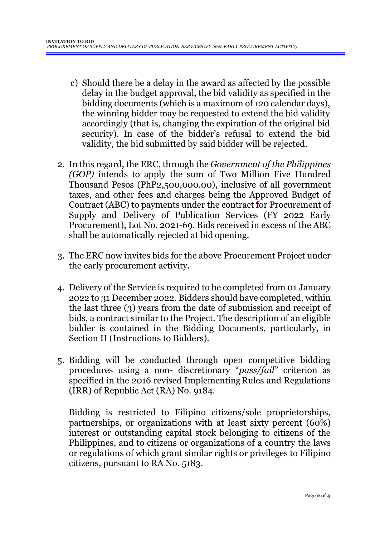- c) Should there be a delay in the award as affected by the possible delay in the budget approval, the bid validity as specified in the bidding documents (which is a maximum of 120 calendar days), the winning bidder may be requested to extend the bid validity accordingly (that is, changing the expiration of the original bid security). In case of the bidder's refusal to extend the bid validity, the bid submitted by said bidder will be rejected.
- 2. In this regard, the ERC, through the *Government of the Philippines (GOP)* intends to apply the sum of Two Million Five Hundred Thousand Pesos (PhP2,500,000.00), inclusive of all government taxes, and other fees and charges being the Approved Budget of Contract (ABC) to payments under the contract for Procurement of Supply and Delivery of Publication Services (FY 2022 Early Procurement), Lot No. 2021-69. Bids received in excess of the ABC shall be automatically rejected at bid opening.
- 3. The ERC now invites bids for the above Procurement Project under the early procurement activity.
- 4. Delivery of the Service is required to be completed from 01 January 2022 to 31 December 2022*.* Bidders should have completed, within the last three (3) years from the date of submission and receipt of bids, a contract similar to the Project. The description of an eligible bidder is contained in the Bidding Documents, particularly, in Section II (Instructions to Bidders).
- 5. Bidding will be conducted through open competitive bidding procedures using a non- discretionary "*pass/fail*" criterion as specified in the 2016 revised Implementing Rules and Regulations (IRR) of Republic Act (RA) No. 9184.

Bidding is restricted to Filipino citizens/sole proprietorships, partnerships, or organizations with at least sixty percent (60%) interest or outstanding capital stock belonging to citizens of the Philippines, and to citizens or organizations of a country the laws or regulations of which grant similar rights or privileges to Filipino citizens, pursuant to RA No. 5183.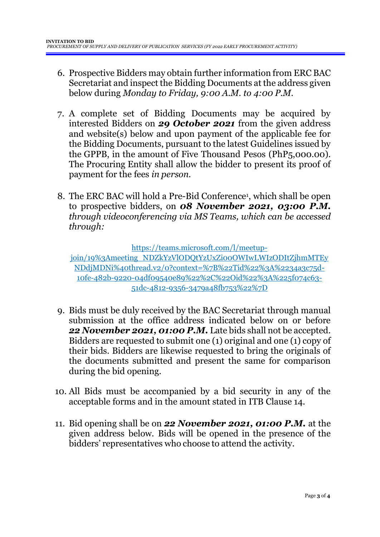- 6. Prospective Bidders may obtain further information from ERC BAC Secretariat and inspect the Bidding Documents at the address given below during *Monday to Friday, 9:00 A.M. to 4:00 P.M*.
- 7. A complete set of Bidding Documents may be acquired by interested Bidders on *29 October 2021* from the given address and website(s) below and upon payment of the applicable fee for the Bidding Documents, pursuant to the latest Guidelines issued by the GPPB, in the amount of Five Thousand Pesos (PhP5,000.00). The Procuring Entity shall allow the bidder to present its proof of payment for the fees *in person.*
- 8. The ERC BAC will hold a Pre-Bid Conference<sup>1</sup> , which shall be open to prospective bidders, on *08 November 2021, 03:00 P.M. through videoconferencing via MS Teams, which can be accessed through:*

https://teams.microsoft.com/l/meetup-

join/19%3Ameeting\_NDZkYzVlODQtYzUxZi00OWIwLWIzODItZjhmMTEy NDdjMDNi%40thread.v2/0?context=%7B%22Tid%22%3A%2234a3c75d-10fe-482b-9220-04df09540e89%22%2C%22Oid%22%3A%225f074c63- 51dc-4812-9356-3479a48fb753%22%7D

- 9. Bids must be duly received by the BAC Secretariat through manual submission at the office address indicated below on or before *22 November 2021, 01:00 P.M.* Late bids shall not be accepted. Bidders are requested to submit one (1) original and one (1) copy of their bids. Bidders are likewise requested to bring the originals of the documents submitted and present the same for comparison during the bid opening.
- 10. All Bids must be accompanied by a bid security in any of the acceptable forms and in the amount stated in ITB Clause 14.
- 11. Bid opening shall be on *22 November 2021, 01:00 P.M.* at the given address below. Bids will be opened in the presence of the bidders' representatives who choose to attend the activity.